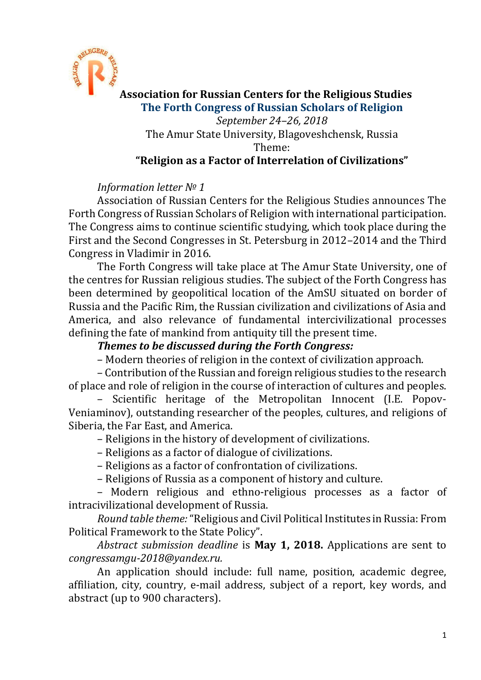

**Association for Russian Centers for the Religious Studies The Forth Congress of Russian Scholars of Religion** *September 24–26, 2018* The Amur State University, Blagoveshchensk, Russia Theme: **"Religion as a Factor of Interrelation of Civilizations"**

## *Information letter № 1*

Association of Russian Centers for the Religious Studies announces The Forth Congress of Russian Scholars of Religion with international participation. The Congress aims to continue scientific studying, which took place during the First and the Second Congresses in St. Petersburg in 2012–2014 and the Third Congress in Vladimir in 2016.

The Forth Congress will take place at The Amur State University, one of the centres for Russian religious studies. The subject of the Forth Congress has been determined by geopolitical location of the AmSU situated on border of Russia and the Pacific Rim, the Russian civilization and civilizations of Asia and America, and also relevance of fundamental intercivilizational processes defining the fate of mankind from antiquity till the present time.

## *Themes to be discussed during the Forth Congress:*

– Modern theories of religion in the context of civilization approach.

– Contribution of the Russian and foreign religious studies to the research of place and role of religion in the course of interaction of cultures and peoples.

– Scientific heritage of the Metropolitan Innocent (I.E. Popov-Veniaminov), outstanding researcher of the peoples, cultures, and religions of Siberia, the Far East, and America.

– Religions in the history of development of civilizations.

– Religions as a factor of dialogue of civilizations.

– Religions as a factor of confrontation of civilizations.

– Religions of Russia as a component of history and culture.

– Modern religious and ethno-religious processes as a factor of intracivilizational development of Russia.

*Round table theme:* "Religious and Civil Political Institutes in Russia: From Political Framework to the State Policy".

*Abstract submission deadline* is **May 1, 2018.** Applications are sent to *congressamgu-2018@yandex.ru.*

An application should include: full name, position, academic degree, affiliation, city, country, e-mail address, subject of a report, key words, and abstract (up to 900 characters).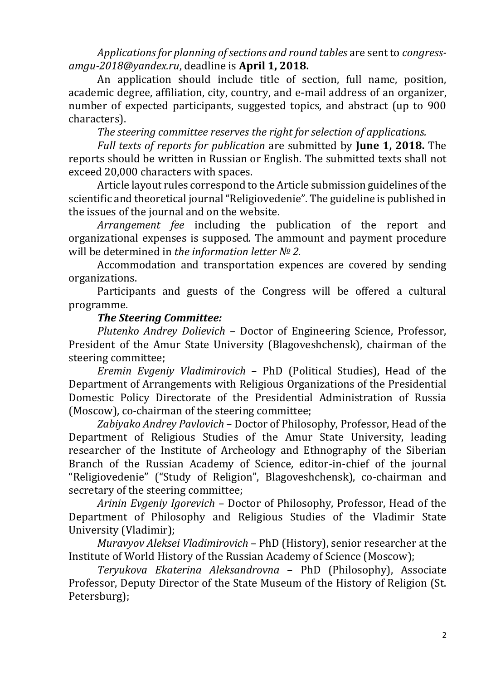*Applications for planning of sections and round tables* are sent to *congressamgu-2018@yandex.ru*, deadline is **April 1, 2018.**

An application should include title of section, full name, position, academic degree, affiliation, city, country, and e-mail address of an organizer, number of expected participants, suggested topics, and abstract (up to 900 characters).

*The steering committee reserves the right for selection of applications.*

*Full texts of reports for publication* are submitted by **June 1, 2018.** The reports should be written in Russian or English. The submitted texts shall not exceed 20,000 characters with spaces.

Article layout rules correspond to the Article submission guidelines of the scientific and theoretical journal "Religiovedenie". The guideline is published in the issues of the journal and on the website.

*Arrangement fee* including the publication of the report and organizational expenses is supposed. The ammount and payment procedure will be determined in *the information letter № 2.*

Accommodation and transportation expences are covered by sending organizations.

Participants and guests of the Congress will be offered a cultural programme.

## *The Steering Committee:*

*Plutenko Andrey Dolievich* – Doctor of Engineering Science, Professor, President of the Amur State University (Blagoveshchensk), chairman of the steering committee;

*Eremin Evgeniy Vladimirovich* – PhD (Political Studies), Head of the Department of Arrangements with Religious Organizations of the Presidential Domestic Policy Directorate of the Presidential Administration of Russia (Moscow), co-chairman of the steering committee;

*Zabiyako Andrey Pavlovich* – Doctor of Philosophy, Professor, Head of the Department of Religious Studies of the Amur State University, leading researcher of the Institute of Archeology and Ethnography of the Siberian Branch of the Russian Academy of Science, editor-in-chief of the journal "Religiovedenie" ("Study of Religion", Blagoveshchensk), co-chairman and secretary of the steering committee;

*Arinin Evgeniy Igorevich* – Doctor of Philosophy, Professor, Head of the Department of Philosophy and Religious Studies of the Vladimir State University (Vladimir);

*Muravyov Aleksei Vladimirovich* – PhD (History), senior researcher at the Institute of World History of the Russian Academy of Science (Moscow);

*Teryukova Ekaterina Aleksandrovna* – PhD (Philosophy), Associate Professor, Deputy Director of the State Museum of the History of Religion (St. Petersburg);